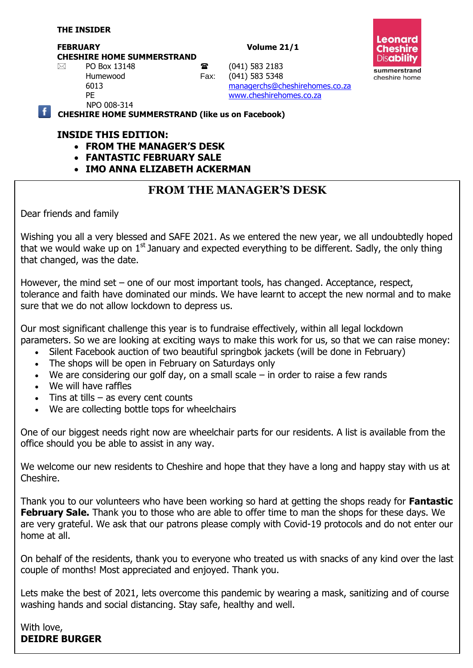#### **THE INSIDER**

#### **FEBRUARY Volume 21/1**



**CHESHIRE HOME SUMMERSTRAND**

 $\boxtimes$  PO Box 13148 **a** (041) 583 2183

Humewood Fax: (041) 583 5348 6013 [managerchs@cheshirehomes.co.za](mailto:managerchs@cheshirehomes.co.za)

 PE [www.cheshirehomes.co.za](http://www.cheshirehomes.co.za/) NPO 008-314

**CHESHIRE HOME SUMMERSTRAND (like us on Facebook)**

## **INSIDE THIS EDITION:**

- **FROM THE MANAGER'S DESK**
- **FANTASTIC FEBRUARY SALE**
- **IMO ANNA ELIZABETH ACKERMAN**

# **FROM THE MANAGER'S DESK**

Dear friends and family

Wishing you all a very blessed and SAFE 2021. As we entered the new year, we all undoubtedly hoped that we would wake up on  $1<sup>st</sup>$  January and expected everything to be different. Sadly, the only thing that changed, was the date.

However, the mind set – one of our most important tools, has changed. Acceptance, respect, tolerance and faith have dominated our minds. We have learnt to accept the new normal and to make sure that we do not allow lockdown to depress us.

Our most significant challenge this year is to fundraise effectively, within all legal lockdown parameters. So we are looking at exciting ways to make this work for us, so that we can raise money:

- Silent Facebook auction of two beautiful springbok jackets (will be done in February)
- The shops will be open in February on Saturdays only
- We are considering our golf day, on a small scale  $-$  in order to raise a few rands
- We will have raffles
- $\bullet$  Tins at tills as every cent counts
- We are collecting bottle tops for wheelchairs

One of our biggest needs right now are wheelchair parts for our residents. A list is available from the office should you be able to assist in any way.

We welcome our new residents to Cheshire and hope that they have a long and happy stay with us at Cheshire.

Thank you to our volunteers who have been working so hard at getting the shops ready for **Fantastic February Sale.** Thank you to those who are able to offer time to man the shops for these days. We are very grateful. We ask that our patrons please comply with Covid-19 protocols and do not enter our home at all.

On behalf of the residents, thank you to everyone who treated us with snacks of any kind over the last couple of months! Most appreciated and enjoyed. Thank you.

Lets make the best of 2021, lets overcome this pandemic by wearing a mask, sanitizing and of course washing hands and social distancing. Stay safe, healthy and well.

With love, **DEIDRE BURGER**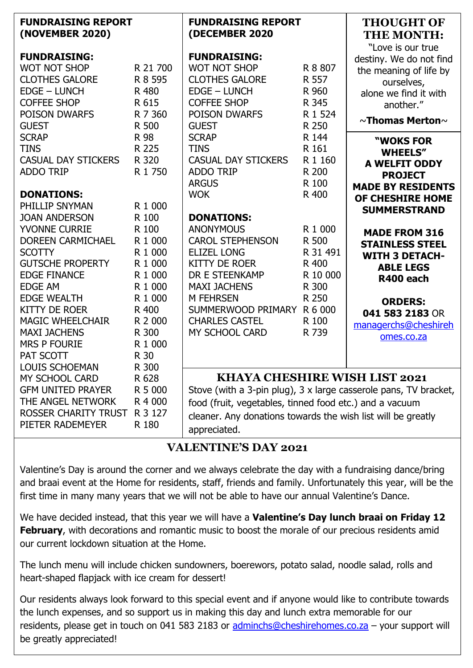| <b>FUNDRAISING REPORT</b><br>(NOVEMBER 2020)                                                                                                                                                                                                                                                      |                                                                                                                                  | <b>FUNDRAISING REPORT</b><br>(DECEMBER 2020                                                                                                                                                                                                  |                                                                                                                                                                                                                                     | <b>THOUGHT OF</b><br><b>THE MONTH:</b><br>"Love is our true                                                                                                                         |
|---------------------------------------------------------------------------------------------------------------------------------------------------------------------------------------------------------------------------------------------------------------------------------------------------|----------------------------------------------------------------------------------------------------------------------------------|----------------------------------------------------------------------------------------------------------------------------------------------------------------------------------------------------------------------------------------------|-------------------------------------------------------------------------------------------------------------------------------------------------------------------------------------------------------------------------------------|-------------------------------------------------------------------------------------------------------------------------------------------------------------------------------------|
| <b>FUNDRAISING:</b><br><b>WOT NOT SHOP</b><br><b>CLOTHES GALORE</b><br><b>EDGE - LUNCH</b><br><b>COFFEE SHOP</b><br>POISON DWARFS<br><b>GUEST</b>                                                                                                                                                 | R 21 700<br>R 8 595<br>R 480<br>R 615<br>R 7 360<br>R 500                                                                        | <b>FUNDRAISING:</b><br><b>WOT NOT SHOP</b><br><b>CLOTHES GALORE</b><br><b>EDGE - LUNCH</b><br><b>COFFEE SHOP</b><br>POISON DWARFS<br><b>GUEST</b>                                                                                            | R 8 807<br>R 557<br>R 960<br>R 345<br>R 1 524<br>R 250                                                                                                                                                                              | destiny. We do not find<br>the meaning of life by<br>ourselves,<br>alone we find it with<br>another."<br>$\sim$ Thomas Merton $\sim$                                                |
| <b>SCRAP</b><br><b>TINS</b><br><b>CASUAL DAY STICKERS</b><br><b>ADDO TRIP</b><br><b>DONATIONS:</b><br>PHILLIP SNYMAN                                                                                                                                                                              | R 98<br>R 225<br>R 320<br>R 1 750<br>R 1 000                                                                                     | <b>SCRAP</b><br><b>TINS</b><br><b>CASUAL DAY STICKERS</b><br><b>ADDO TRIP</b><br><b>ARGUS</b><br><b>WOK</b>                                                                                                                                  | R 144<br>R 161<br>R 1 160<br>R 200<br>R 100<br>R 400                                                                                                                                                                                | "WOKS FOR<br><b>WHEELS"</b><br><b>A WELFIT ODDY</b><br><b>PROJECT</b><br><b>MADE BY RESIDENTS</b><br>OF CHESHIRE HOME<br><b>SUMMERSTRAND</b>                                        |
| <b>JOAN ANDERSON</b><br><b>YVONNE CURRIE</b><br><b>DOREEN CARMICHAEL</b><br><b>SCOTTY</b><br><b>GUTSCHE PROPERTY</b><br><b>EDGE FINANCE</b><br><b>EDGE AM</b><br><b>EDGE WEALTH</b><br><b>KITTY DE ROER</b><br><b>MAGIC WHEELCHAIR</b><br><b>MAXI JACHENS</b><br><b>MRS P FOURIE</b><br>PAT SCOTT | R 100<br>R 100<br>R 1 000<br>R 1 000<br>R 1 000<br>R 1 000<br>R 1 000<br>R 1 000<br>R 400<br>R 2 000<br>R 300<br>R 1 000<br>R 30 | <b>DONATIONS:</b><br><b>ANONYMOUS</b><br><b>CAROL STEPHENSON</b><br><b>ELIZEL LONG</b><br><b>KITTY DE ROER</b><br>DR E STEENKAMP<br><b>MAXI JACHENS</b><br><b>M FEHRSEN</b><br>SUMMERWOOD PRIMARY<br><b>CHARLES CASTEL</b><br>MY SCHOOL CARD | R 1 000<br>R 500<br>R 31 491<br>R 400<br>R 10 000<br>R 300<br>R 250<br>R 6 000<br>R 100<br>R 739                                                                                                                                    | <b>MADE FROM 316</b><br><b>STAINLESS STEEL</b><br><b>WITH 3 DETACH-</b><br><b>ABLE LEGS</b><br>R400 each<br><b>ORDERS:</b><br>041 583 2183 OR<br>managerchs@cheshireh<br>omes.co.za |
| <b>LOUIS SCHOEMAN</b><br>MY SCHOOL CARD<br><b>GFM UNITED PRAYER</b><br>THE ANGEL NETWORK<br>ROSSER CHARITY TRUST<br>PIETER RADEMEYER                                                                                                                                                              | R 300<br>R 628<br>R 5 000<br>R 4 000<br>R 3 127<br>R 180                                                                         | appreciated.                                                                                                                                                                                                                                 | <b>KHAYA CHESHIRE WISH LIST 2021</b><br>Stove (with a 3-pin plug), 3 x large casserole pans, TV bracket,<br>food (fruit, vegetables, tinned food etc.) and a vacuum<br>cleaner. Any donations towards the wish list will be greatly |                                                                                                                                                                                     |

# **VALENTINE'S DAY 2021**

Valentine's Day is around the corner and we always celebrate the day with a fundraising dance/bring and braai event at the Home for residents, staff, friends and family. Unfortunately this year, will be the first time in many many years that we will not be able to have our annual Valentine's Dance.

We have decided instead, that this year we will have a **Valentine's Day lunch braai on Friday 12 February**, with decorations and romantic music to boost the morale of our precious residents amid our current lockdown situation at the Home.

The lunch menu will include chicken sundowners, boerewors, potato salad, noodle salad, rolls and heart-shaped flapjack with ice cream for dessert!

Our residents always look forward to this special event and if anyone would like to contribute towards the lunch expenses, and so support us in making this day and lunch extra memorable for our residents, please get in touch on 041 583 2183 or [adminchs@cheshirehomes.co.za](mailto:adminchs@cheshirehomes.co.za) - your support will be greatly appreciated!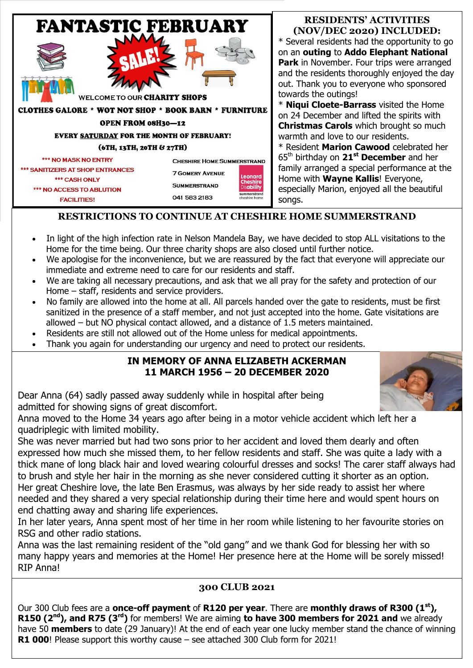

#### **RESIDENTS' ACTIVITIES (NOV/DEC 2020) INCLUDED:**

\* Several residents had the opportunity to go on an **outing** to **Addo Elephant National Park** in November. Four trips were arranged and the residents thoroughly enjoyed the day out. Thank you to everyone who sponsored towards the outings!

\* **Niqui Cloete-Barrass** visited the Home on 24 December and lifted the spirits with **Christmas Carols** which brought so much warmth and love to our residents.

\* Resident **Marion Cawood** celebrated her 65th birthday on **21st December** and her family arranged a special performance at the Home with **Wayne Kallis**! Everyone, especially Marion, enjoyed all the beautiful songs.

# **RESTRICTIONS TO CONTINUE AT CHESHIRE HOME SUMMERSTRAND**

- In light of the high infection rate in Nelson Mandela Bay, we have decided to stop ALL visitations to the Home for the time being. Our three charity shops are also closed until further notice.
- We apologise for the inconvenience, but we are reassured by the fact that everyone will appreciate our immediate and extreme need to care for our residents and staff.
- We are taking all necessary precautions, and ask that we all pray for the safety and protection of our Home – staff, residents and service providers.
- No family are allowed into the home at all. All parcels handed over the gate to residents, must be first sanitized in the presence of a staff member, and not just accepted into the home. Gate visitations are allowed – but NO physical contact allowed, and a distance of 1.5 meters maintained.
- Residents are still not allowed out of the Home unless for medical appointments.
- Thank you again for understanding our urgency and need to protect our residents.

### **IN MEMORY OF ANNA ELIZABETH ACKERMAN 11 MARCH 1956 – 20 DECEMBER 2020**



Dear Anna (64) sadly passed away suddenly while in hospital after being admitted for showing signs of great discomfort.

Anna moved to the Home 34 years ago after being in a motor vehicle accident which left her a quadriplegic with limited mobility.

She was never married but had two sons prior to her accident and loved them dearly and often expressed how much she missed them, to her fellow residents and staff. She was quite a lady with a thick mane of long black hair and loved wearing colourful dresses and socks! The carer staff always had to brush and style her hair in the morning as she never considered cutting it shorter as an option. Her great Cheshire love, the late Ben Erasmus, was always by her side ready to assist her where needed and they shared a very special relationship during their time here and would spent hours on end chatting away and sharing life experiences.

In her later years, Anna spent most of her time in her room while listening to her favourite stories on RSG and other radio stations.

Anna was the last remaining resident of the "old gang" and we thank God for blessing her with so many happy years and memories at the Home! Her presence here at the Home will be sorely missed! RIP Anna!

## **300 CLUB 2021**

Our 300 Club fees are a **once-off payment** of **R120 per year**. There are **monthly draws of R300 (1st), R150 (2nd), and R75 (3rd)** for members! We are aiming **to have 300 members for 2021 and** we already have 50 **members** to date (29 January)! At the end of each year one lucky member stand the chance of winning **R1 000**! Please support this worthy cause – see attached 300 Club form for 2021!